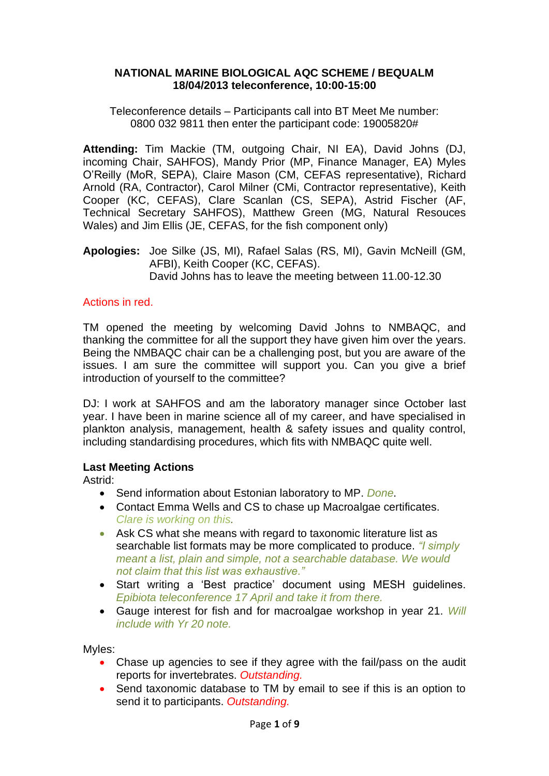### **NATIONAL MARINE BIOLOGICAL AQC SCHEME / BEQUALM 18/04/2013 teleconference, 10:00-15:00**

Teleconference details – Participants call into BT Meet Me number: 0800 032 9811 then enter the participant code: 19005820#

**Attending:** Tim Mackie (TM, outgoing Chair, NI EA), David Johns (DJ, incoming Chair, SAHFOS), Mandy Prior (MP, Finance Manager, EA) Myles O'Reilly (MoR, SEPA), Claire Mason (CM, CEFAS representative), Richard Arnold (RA, Contractor), Carol Milner (CMi, Contractor representative), Keith Cooper (KC, CEFAS), Clare Scanlan (CS, SEPA), Astrid Fischer (AF, Technical Secretary SAHFOS), Matthew Green (MG, Natural Resouces Wales) and Jim Ellis (JE, CEFAS, for the fish component only)

**Apologies:** Joe Silke (JS, MI), Rafael Salas (RS, MI), Gavin McNeill (GM, AFBI), Keith Cooper (KC, CEFAS). David Johns has to leave the meeting between 11.00-12.30

## Actions in red.

TM opened the meeting by welcoming David Johns to NMBAQC, and thanking the committee for all the support they have given him over the years. Being the NMBAQC chair can be a challenging post, but you are aware of the issues. I am sure the committee will support you. Can you give a brief introduction of yourself to the committee?

DJ: I work at SAHFOS and am the laboratory manager since October last year. I have been in marine science all of my career, and have specialised in plankton analysis, management, health & safety issues and quality control, including standardising procedures, which fits with NMBAQC quite well.

### **Last Meeting Actions**

Astrid:

- Send information about Estonian laboratory to MP. *Done.*
- Contact Emma Wells and CS to chase up Macroalgae certificates. *Clare is working on this.*
- Ask CS what she means with regard to taxonomic literature list as searchable list formats may be more complicated to produce. *"I simply meant a list, plain and simple, not a searchable database. We would not claim that this list was exhaustive."*
- Start writing a 'Best practice' document using MESH guidelines. *Epibiota teleconference 17 April and take it from there.*
- Gauge interest for fish and for macroalgae workshop in year 21. *Will include with Yr 20 note.*

Myles:

- Chase up agencies to see if they agree with the fail/pass on the audit reports for invertebrates. *Outstanding.*
- Send taxonomic database to TM by email to see if this is an option to send it to participants. *Outstanding.*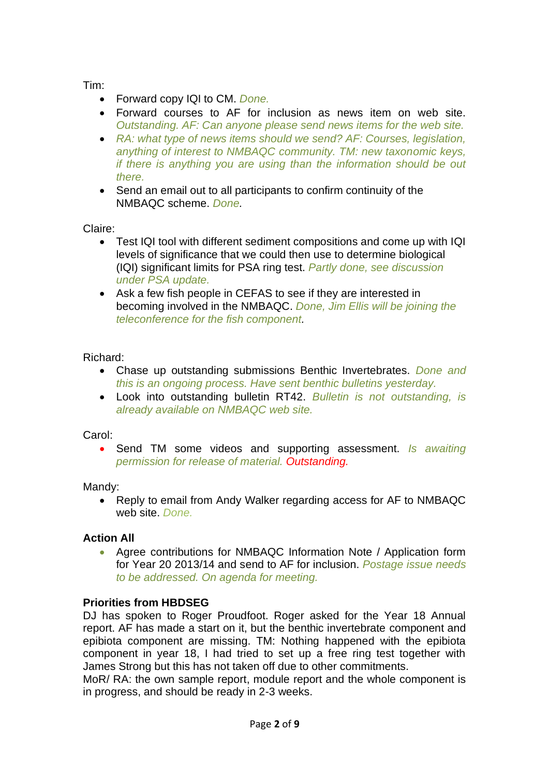Tim:

- Forward copy IQI to CM. *Done.*
- Forward courses to AF for inclusion as news item on web site. *Outstanding. AF: Can anyone please send news items for the web site.*
- *RA: what type of news items should we send? AF: Courses, legislation, anything of interest to NMBAQC community. TM: new taxonomic keys, if there is anything you are using than the information should be out there.*
- Send an email out to all participants to confirm continuity of the NMBAQC scheme. *Done.*

Claire:

- Test IQI tool with different sediment compositions and come up with IQI levels of significance that we could then use to determine biological (IQI) significant limits for PSA ring test. *Partly done, see discussion under PSA update.*
- Ask a few fish people in CEFAS to see if they are interested in becoming involved in the NMBAQC. *Done, Jim Ellis will be joining the teleconference for the fish component.*

# Richard:

- Chase up outstanding submissions Benthic Invertebrates. *Done and this is an ongoing process. Have sent benthic bulletins yesterday.*
- Look into outstanding bulletin RT42. *Bulletin is not outstanding, is already available on NMBAQC web site.*

# Carol:

• Send TM some videos and supporting assessment. *Is awaiting permission for release of material. Outstanding.*

Mandy:

• Reply to email from Andy Walker regarding access for AF to NMBAQC web site. *Done.*

# **Action All**

• Agree contributions for NMBAQC Information Note / Application form for Year 20 2013/14 and send to AF for inclusion. *Postage issue needs to be addressed. On agenda for meeting.*

# **Priorities from HBDSEG**

DJ has spoken to Roger Proudfoot. Roger asked for the Year 18 Annual report. AF has made a start on it, but the benthic invertebrate component and epibiota component are missing. TM: Nothing happened with the epibiota component in year 18, I had tried to set up a free ring test together with James Strong but this has not taken off due to other commitments.

MoR/ RA: the own sample report, module report and the whole component is in progress, and should be ready in 2-3 weeks.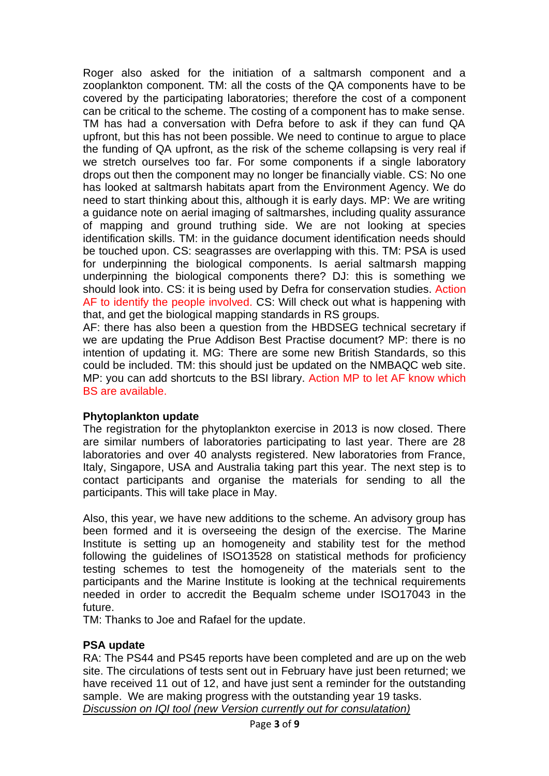Roger also asked for the initiation of a saltmarsh component and a zooplankton component. TM: all the costs of the QA components have to be covered by the participating laboratories; therefore the cost of a component can be critical to the scheme. The costing of a component has to make sense. TM has had a conversation with Defra before to ask if they can fund QA upfront, but this has not been possible. We need to continue to argue to place the funding of QA upfront, as the risk of the scheme collapsing is very real if we stretch ourselves too far. For some components if a single laboratory drops out then the component may no longer be financially viable. CS: No one has looked at saltmarsh habitats apart from the Environment Agency. We do need to start thinking about this, although it is early days. MP: We are writing a guidance note on aerial imaging of saltmarshes, including quality assurance of mapping and ground truthing side. We are not looking at species identification skills. TM: in the guidance document identification needs should be touched upon. CS: seagrasses are overlapping with this. TM: PSA is used for underpinning the biological components. Is aerial saltmarsh mapping underpinning the biological components there? DJ: this is something we should look into. CS: it is being used by Defra for conservation studies. Action AF to identify the people involved. CS: Will check out what is happening with that, and get the biological mapping standards in RS groups.

AF: there has also been a question from the HBDSEG technical secretary if we are updating the Prue Addison Best Practise document? MP: there is no intention of updating it. MG: There are some new British Standards, so this could be included. TM: this should just be updated on the NMBAQC web site. MP: you can add shortcuts to the BSI library. Action MP to let AF know which BS are available.

# **Phytoplankton update**

The registration for the phytoplankton exercise in 2013 is now closed. There are similar numbers of laboratories participating to last year. There are 28 laboratories and over 40 analysts registered. New laboratories from France, Italy, Singapore, USA and Australia taking part this year. The next step is to contact participants and organise the materials for sending to all the participants. This will take place in May.

Also, this year, we have new additions to the scheme. An advisory group has been formed and it is overseeing the design of the exercise. The Marine Institute is setting up an homogeneity and stability test for the method following the guidelines of ISO13528 on statistical methods for proficiency testing schemes to test the homogeneity of the materials sent to the participants and the Marine Institute is looking at the technical requirements needed in order to accredit the Bequalm scheme under ISO17043 in the future.

TM: Thanks to Joe and Rafael for the update.

# **PSA update**

RA: The PS44 and PS45 reports have been completed and are up on the web site. The circulations of tests sent out in February have just been returned; we have received 11 out of 12, and have just sent a reminder for the outstanding sample. We are making progress with the outstanding year 19 tasks. *Discussion on IQI tool (new Version currently out for consulatation)*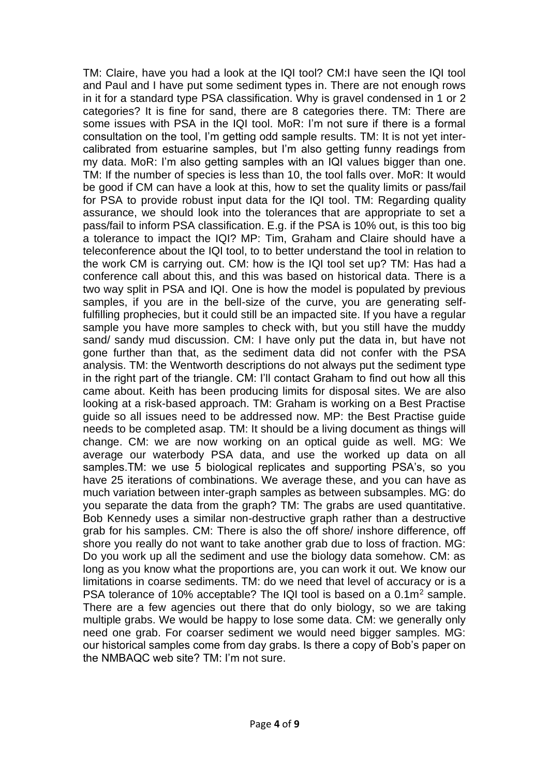TM: Claire, have you had a look at the IQI tool? CM:I have seen the IQI tool and Paul and I have put some sediment types in. There are not enough rows in it for a standard type PSA classification. Why is gravel condensed in 1 or 2 categories? It is fine for sand, there are 8 categories there. TM: There are some issues with PSA in the IQI tool. MoR: I'm not sure if there is a formal consultation on the tool, I'm getting odd sample results. TM: It is not yet intercalibrated from estuarine samples, but I'm also getting funny readings from my data. MoR: I'm also getting samples with an IQI values bigger than one. TM: If the number of species is less than 10, the tool falls over. MoR: It would be good if CM can have a look at this, how to set the quality limits or pass/fail for PSA to provide robust input data for the IQI tool. TM: Regarding quality assurance, we should look into the tolerances that are appropriate to set a pass/fail to inform PSA classification. E.g. if the PSA is 10% out, is this too big a tolerance to impact the IQI? MP: Tim, Graham and Claire should have a teleconference about the IQI tool, to to better understand the tool in relation to the work CM is carrying out. CM: how is the IQI tool set up? TM: Has had a conference call about this, and this was based on historical data. There is a two way split in PSA and IQI. One is how the model is populated by previous samples, if you are in the bell-size of the curve, you are generating selffulfilling prophecies, but it could still be an impacted site. If you have a regular sample you have more samples to check with, but you still have the muddy sand/ sandy mud discussion. CM: I have only put the data in, but have not gone further than that, as the sediment data did not confer with the PSA analysis. TM: the Wentworth descriptions do not always put the sediment type in the right part of the triangle. CM: I'll contact Graham to find out how all this came about. Keith has been producing limits for disposal sites. We are also looking at a risk-based approach. TM: Graham is working on a Best Practise guide so all issues need to be addressed now. MP: the Best Practise guide needs to be completed asap. TM: It should be a living document as things will change. CM: we are now working on an optical guide as well. MG: We average our waterbody PSA data, and use the worked up data on all samples.TM: we use 5 biological replicates and supporting PSA's, so you have 25 iterations of combinations. We average these, and you can have as much variation between inter-graph samples as between subsamples. MG: do you separate the data from the graph? TM: The grabs are used quantitative. Bob Kennedy uses a similar non-destructive graph rather than a destructive grab for his samples. CM: There is also the off shore/ inshore difference, off shore you really do not want to take another grab due to loss of fraction. MG: Do you work up all the sediment and use the biology data somehow. CM: as long as you know what the proportions are, you can work it out. We know our limitations in coarse sediments. TM: do we need that level of accuracy or is a PSA tolerance of 10% acceptable? The IQI tool is based on a 0.1m<sup>2</sup> sample. There are a few agencies out there that do only biology, so we are taking multiple grabs. We would be happy to lose some data. CM: we generally only need one grab. For coarser sediment we would need bigger samples. MG: our historical samples come from day grabs. Is there a copy of Bob's paper on the NMBAQC web site? TM: I'm not sure.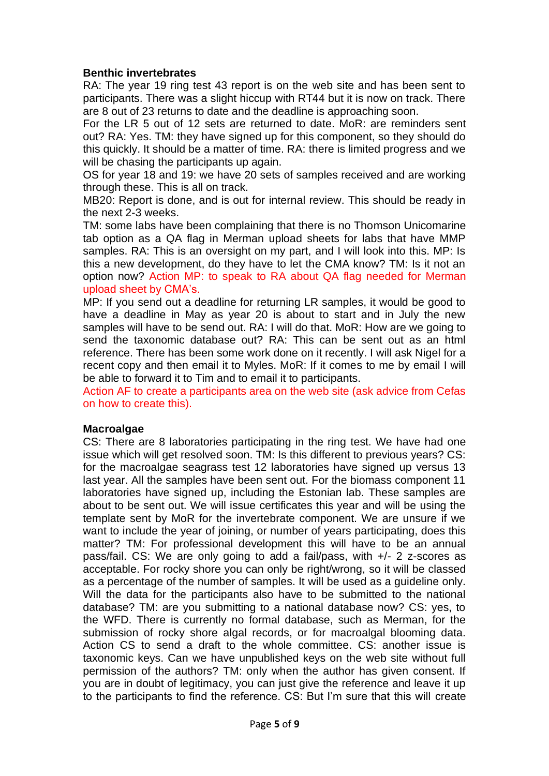### **Benthic invertebrates**

RA: The year 19 ring test 43 report is on the web site and has been sent to participants. There was a slight hiccup with RT44 but it is now on track. There are 8 out of 23 returns to date and the deadline is approaching soon.

For the LR 5 out of 12 sets are returned to date. MoR: are reminders sent out? RA: Yes. TM: they have signed up for this component, so they should do this quickly. It should be a matter of time. RA: there is limited progress and we will be chasing the participants up again.

OS for year 18 and 19: we have 20 sets of samples received and are working through these. This is all on track.

MB20: Report is done, and is out for internal review. This should be ready in the next 2-3 weeks.

TM: some labs have been complaining that there is no Thomson Unicomarine tab option as a QA flag in Merman upload sheets for labs that have MMP samples. RA: This is an oversight on my part, and I will look into this. MP: Is this a new development, do they have to let the CMA know? TM: Is it not an option now? Action MP: to speak to RA about QA flag needed for Merman upload sheet by CMA's.

MP: If you send out a deadline for returning LR samples, it would be good to have a deadline in May as year 20 is about to start and in July the new samples will have to be send out. RA: I will do that. MoR: How are we going to send the taxonomic database out? RA: This can be sent out as an html reference. There has been some work done on it recently. I will ask Nigel for a recent copy and then email it to Myles. MoR: If it comes to me by email I will be able to forward it to Tim and to email it to participants.

Action AF to create a participants area on the web site (ask advice from Cefas on how to create this).

#### **Macroalgae**

CS: There are 8 laboratories participating in the ring test. We have had one issue which will get resolved soon. TM: Is this different to previous years? CS: for the macroalgae seagrass test 12 laboratories have signed up versus 13 last year. All the samples have been sent out. For the biomass component 11 laboratories have signed up, including the Estonian lab. These samples are about to be sent out. We will issue certificates this year and will be using the template sent by MoR for the invertebrate component. We are unsure if we want to include the year of joining, or number of years participating, does this matter? TM: For professional development this will have to be an annual pass/fail. CS: We are only going to add a fail/pass, with +/- 2 z-scores as acceptable. For rocky shore you can only be right/wrong, so it will be classed as a percentage of the number of samples. It will be used as a guideline only. Will the data for the participants also have to be submitted to the national database? TM: are you submitting to a national database now? CS: yes, to the WFD. There is currently no formal database, such as Merman, for the submission of rocky shore algal records, or for macroalgal blooming data. Action CS to send a draft to the whole committee. CS: another issue is taxonomic keys. Can we have unpublished keys on the web site without full permission of the authors? TM: only when the author has given consent. If you are in doubt of legitimacy, you can just give the reference and leave it up to the participants to find the reference. CS: But I'm sure that this will create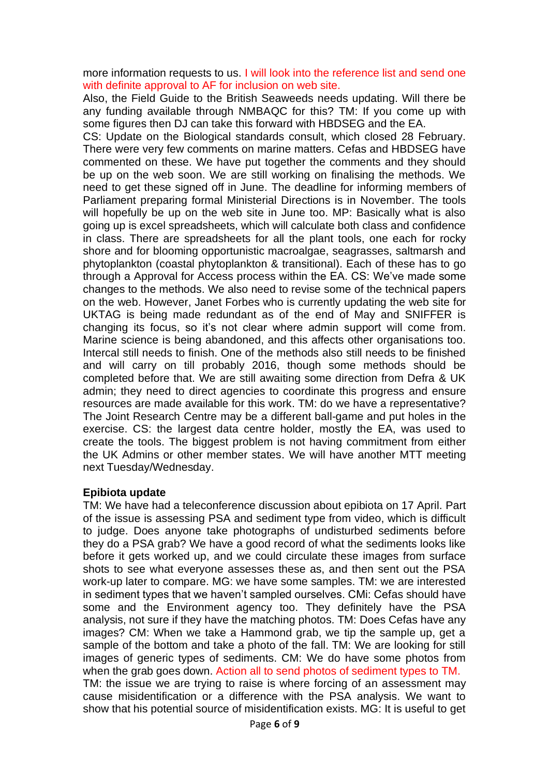more information requests to us. I will look into the reference list and send one with definite approval to AF for inclusion on web site.

Also, the Field Guide to the British Seaweeds needs updating. Will there be any funding available through NMBAQC for this? TM: If you come up with some figures then DJ can take this forward with HBDSEG and the EA.

CS: Update on the Biological standards consult, which closed 28 February. There were very few comments on marine matters. Cefas and HBDSEG have commented on these. We have put together the comments and they should be up on the web soon. We are still working on finalising the methods. We need to get these signed off in June. The deadline for informing members of Parliament preparing formal Ministerial Directions is in November. The tools will hopefully be up on the web site in June too. MP: Basically what is also going up is excel spreadsheets, which will calculate both class and confidence in class. There are spreadsheets for all the plant tools, one each for rocky shore and for blooming opportunistic macroalgae, seagrasses, saltmarsh and phytoplankton (coastal phytoplankton & transitional). Each of these has to go through a Approval for Access process within the EA. CS: We've made some changes to the methods. We also need to revise some of the technical papers on the web. However, Janet Forbes who is currently updating the web site for UKTAG is being made redundant as of the end of May and SNIFFER is changing its focus, so it's not clear where admin support will come from. Marine science is being abandoned, and this affects other organisations too. Intercal still needs to finish. One of the methods also still needs to be finished and will carry on till probably 2016, though some methods should be completed before that. We are still awaiting some direction from Defra & UK admin; they need to direct agencies to coordinate this progress and ensure resources are made available for this work. TM: do we have a representative? The Joint Research Centre may be a different ball-game and put holes in the exercise. CS: the largest data centre holder, mostly the EA, was used to create the tools. The biggest problem is not having commitment from either the UK Admins or other member states. We will have another MTT meeting next Tuesday/Wednesday.

### **Epibiota update**

TM: We have had a teleconference discussion about epibiota on 17 April. Part of the issue is assessing PSA and sediment type from video, which is difficult to judge. Does anyone take photographs of undisturbed sediments before they do a PSA grab? We have a good record of what the sediments looks like before it gets worked up, and we could circulate these images from surface shots to see what everyone assesses these as, and then sent out the PSA work-up later to compare. MG: we have some samples. TM: we are interested in sediment types that we haven't sampled ourselves. CMi: Cefas should have some and the Environment agency too. They definitely have the PSA analysis, not sure if they have the matching photos. TM: Does Cefas have any images? CM: When we take a Hammond grab, we tip the sample up, get a sample of the bottom and take a photo of the fall. TM: We are looking for still images of generic types of sediments. CM: We do have some photos from when the grab goes down. Action all to send photos of sediment types to TM. TM: the issue we are trying to raise is where forcing of an assessment may cause misidentification or a difference with the PSA analysis. We want to show that his potential source of misidentification exists. MG: It is useful to get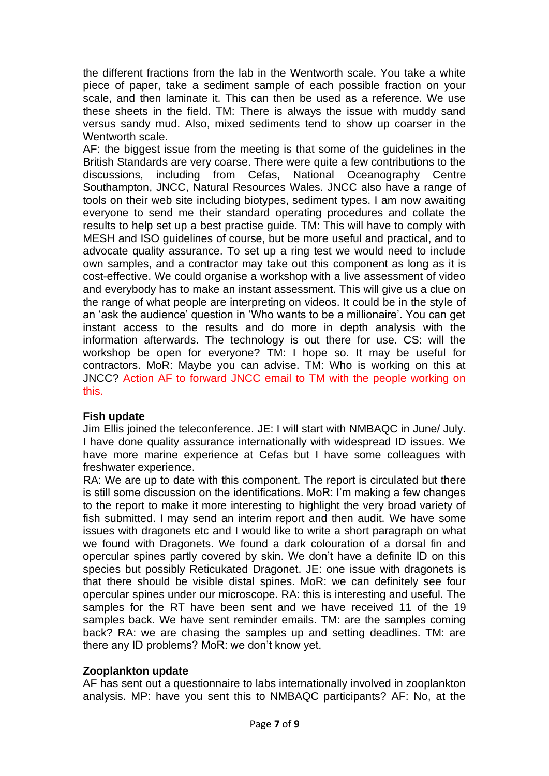the different fractions from the lab in the Wentworth scale. You take a white piece of paper, take a sediment sample of each possible fraction on your scale, and then laminate it. This can then be used as a reference. We use these sheets in the field. TM: There is always the issue with muddy sand versus sandy mud. Also, mixed sediments tend to show up coarser in the Wentworth scale.

AF: the biggest issue from the meeting is that some of the guidelines in the British Standards are very coarse. There were quite a few contributions to the discussions, including from Cefas, National Oceanography Centre Southampton, JNCC, Natural Resources Wales. JNCC also have a range of tools on their web site including biotypes, sediment types. I am now awaiting everyone to send me their standard operating procedures and collate the results to help set up a best practise guide. TM: This will have to comply with MESH and ISO guidelines of course, but be more useful and practical, and to advocate quality assurance. To set up a ring test we would need to include own samples, and a contractor may take out this component as long as it is cost-effective. We could organise a workshop with a live assessment of video and everybody has to make an instant assessment. This will give us a clue on the range of what people are interpreting on videos. It could be in the style of an 'ask the audience' question in 'Who wants to be a millionaire'. You can get instant access to the results and do more in depth analysis with the information afterwards. The technology is out there for use. CS: will the workshop be open for everyone? TM: I hope so. It may be useful for contractors. MoR: Maybe you can advise. TM: Who is working on this at JNCC? Action AF to forward JNCC email to TM with the people working on this.

### **Fish update**

Jim Ellis joined the teleconference. JE: I will start with NMBAQC in June/ July. I have done quality assurance internationally with widespread ID issues. We have more marine experience at Cefas but I have some colleagues with freshwater experience.

RA: We are up to date with this component. The report is circulated but there is still some discussion on the identifications. MoR: I'm making a few changes to the report to make it more interesting to highlight the very broad variety of fish submitted. I may send an interim report and then audit. We have some issues with dragonets etc and I would like to write a short paragraph on what we found with Dragonets. We found a dark colouration of a dorsal fin and opercular spines partly covered by skin. We don't have a definite ID on this species but possibly Reticukated Dragonet. JE: one issue with dragonets is that there should be visible distal spines. MoR: we can definitely see four opercular spines under our microscope. RA: this is interesting and useful. The samples for the RT have been sent and we have received 11 of the 19 samples back. We have sent reminder emails. TM: are the samples coming back? RA: we are chasing the samples up and setting deadlines. TM: are there any ID problems? MoR: we don't know yet.

### **Zooplankton update**

AF has sent out a questionnaire to labs internationally involved in zooplankton analysis. MP: have you sent this to NMBAQC participants? AF: No, at the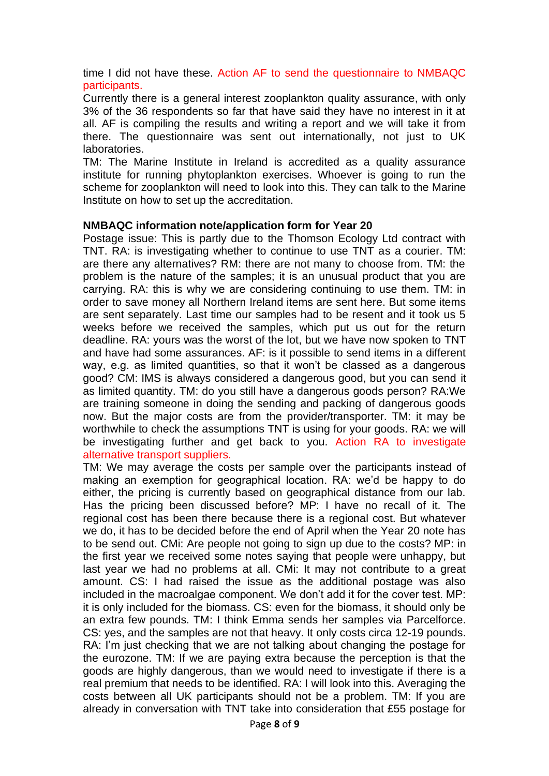time I did not have these. Action AF to send the questionnaire to NMBAQC participants.

Currently there is a general interest zooplankton quality assurance, with only 3% of the 36 respondents so far that have said they have no interest in it at all. AF is compiling the results and writing a report and we will take it from there. The questionnaire was sent out internationally, not just to UK laboratories.

TM: The Marine Institute in Ireland is accredited as a quality assurance institute for running phytoplankton exercises. Whoever is going to run the scheme for zooplankton will need to look into this. They can talk to the Marine Institute on how to set up the accreditation.

#### **NMBAQC information note/application form for Year 20**

Postage issue: This is partly due to the Thomson Ecology Ltd contract with TNT. RA: is investigating whether to continue to use TNT as a courier. TM: are there any alternatives? RM: there are not many to choose from. TM: the problem is the nature of the samples; it is an unusual product that you are carrying. RA: this is why we are considering continuing to use them. TM: in order to save money all Northern Ireland items are sent here. But some items are sent separately. Last time our samples had to be resent and it took us 5 weeks before we received the samples, which put us out for the return deadline. RA: yours was the worst of the lot, but we have now spoken to TNT and have had some assurances. AF: is it possible to send items in a different way, e.g. as limited quantities, so that it won't be classed as a dangerous good? CM: IMS is always considered a dangerous good, but you can send it as limited quantity. TM: do you still have a dangerous goods person? RA:We are training someone in doing the sending and packing of dangerous goods now. But the major costs are from the provider/transporter. TM: it may be worthwhile to check the assumptions TNT is using for your goods. RA: we will be investigating further and get back to you. Action RA to investigate alternative transport suppliers.

TM: We may average the costs per sample over the participants instead of making an exemption for geographical location. RA: we'd be happy to do either, the pricing is currently based on geographical distance from our lab. Has the pricing been discussed before? MP: I have no recall of it. The regional cost has been there because there is a regional cost. But whatever we do, it has to be decided before the end of April when the Year 20 note has to be send out. CMi: Are people not going to sign up due to the costs? MP: in the first year we received some notes saying that people were unhappy, but last year we had no problems at all. CMi: It may not contribute to a great amount. CS: I had raised the issue as the additional postage was also included in the macroalgae component. We don't add it for the cover test. MP: it is only included for the biomass. CS: even for the biomass, it should only be an extra few pounds. TM: I think Emma sends her samples via Parcelforce. CS: yes, and the samples are not that heavy. It only costs circa 12-19 pounds. RA: I'm just checking that we are not talking about changing the postage for the eurozone. TM: If we are paying extra because the perception is that the goods are highly dangerous, than we would need to investigate if there is a real premium that needs to be identified. RA: I will look into this. Averaging the costs between all UK participants should not be a problem. TM: If you are already in conversation with TNT take into consideration that £55 postage for